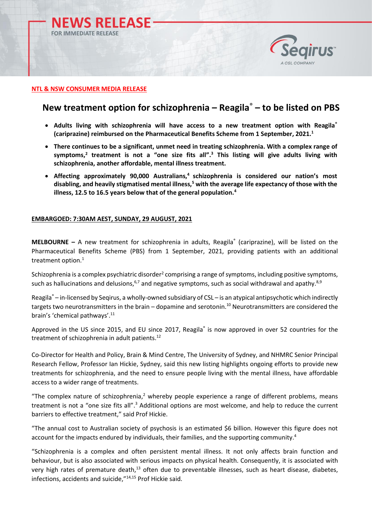



# **NTL & NSW CONSUMER MEDIA RELEASE**

# **New treatment option for schizophrenia – Reagila**® **– to be listed on PBS**

- **Adults living with schizophrenia will have access to a new treatment option with Reagila® (cariprazine) reimbursed on the Pharmaceutical Benefits Scheme from 1 September, 2021.<sup>1</sup>**
- **There continues to be a significant, unmet need in treating schizophrenia. With a complex range of symptoms,<sup>2</sup> treatment is not a "one size fits all". <sup>3</sup> This listing will give adults living with schizophrenia, another affordable, mental illness treatment.**
- **Affecting approximately 90,000 Australians,<sup>4</sup> schizophrenia is considered our nation's most disabling, and heavily stigmatised mental illness,<sup>5</sup> with the average life expectancy of those with the illness, 12.5 to 16.5 years below that of the general population.<sup>4</sup>**

# **EMBARGOED: 7:30AM AEST, SUNDAY, 29 AUGUST, 2021**

MELBOURNE - A new treatment for schizophrenia in adults, Reagila<sup>®</sup> (cariprazine), will be listed on the Pharmaceutical Benefits Scheme (PBS) from 1 September, 2021, providing patients with an additional treatment option. $1$ 

Schizophrenia is a complex psychiatric disorder<sup>2</sup> comprising a range of symptoms, including positive symptoms, such as hallucinations and delusions,  $6,7$  and negative symptoms, such as social withdrawal and apathy. $8,9$ 

Reagila® – in-licensed by Seqirus, a wholly-owned subsidiary of CSL – is an atypical antipsychotic which indirectly targets two neurotransmitters in the brain – dopamine and serotonin.<sup>10</sup> Neurotransmitters are considered the brain's 'chemical pathways'. 11

Approved in the US since 2015, and EU since 2017, Reagila<sup>®</sup> is now approved in over 52 countries for the treatment of schizophrenia in adult patients.<sup>12</sup>

Co-Director for Health and Policy, Brain & Mind Centre, The University of Sydney, and NHMRC Senior Principal Research Fellow, Professor Ian Hickie, Sydney, said this new listing highlights ongoing efforts to provide new treatments for schizophrenia, and the need to ensure people living with the mental illness, have affordable access to a wider range of treatments.

"The complex nature of schizophrenia, <sup>2</sup> whereby people experience a range of different problems, means treatment is not a "one size fits all".<sup>3</sup> Additional options are most welcome, and help to reduce the current barriers to effective treatment," said Prof Hickie.

"The annual cost to Australian society of psychosis is an estimated \$6 billion. However this figure does not account for the impacts endured by individuals, their families, and the supporting community.<sup>4</sup>

"Schizophrenia is a complex and often persistent mental illness. It not only affects brain function and behaviour, but is also associated with serious impacts on physical health. Consequently, it is associated with very high rates of premature death,<sup>13</sup> often due to preventable illnesses, such as heart disease, diabetes, infections, accidents and suicide," 14,15 Prof Hickie said.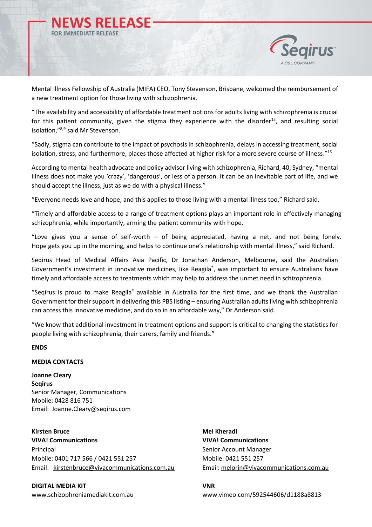



Mental Illness Fellowship of Australia (MIFA) CEO, Tony Stevenson, Brisbane, welcomed the reimbursement of a new treatment option for those living with schizophrenia.

"The availability and accessibility of affordable treatment options for adults living with schizophrenia is crucial for this patient community, given the stigma they experience with the disorder<sup>15</sup>, and resulting social isolation,"8,9 said Mr Stevenson.

"Sadly, stigma can contribute to the impact of psychosis in schizophrenia, delays in accessing treatment, social isolation, stress, and furthermore, places those affected at higher risk for a more severe course of illness."16

According to mental health advocate and policy advisor living with schizophrenia, Richard, 40, Sydney, "mental illness does not make you 'crazy', 'dangerous', or less of a person. It can be an inevitable part of life, and we should accept the illness, just as we do with a physical illness."

"Everyone needs love and hope, and this applies to those living with a mental illness too," Richard said.

"Timely and affordable access to a range of treatment options plays an important role in effectively managing schizophrenia, while importantly, arming the patient community with hope.

"Love gives you a sense of self-worth – of being appreciated, having a net, and not being lonely. Hope gets you up in the morning, and helps to continue one's relationship with mental illness," said Richard.

Seqirus Head of Medical Affairs Asia Pacific, Dr Jonathan Anderson, Melbourne, said the Australian Government's investment in innovative medicines, like Reagila®, was important to ensure Australians have timely and affordable access to treatments which may help to address the unmet need in schizophrenia.

"Seqirus is proud to make Reagila® available in Australia for the first time, and we thank the Australian Government for their support in delivering this PBS listing – ensuring Australian adultsliving with schizophrenia can access this innovative medicine, and do so in an affordable way," Dr Anderson said.

"We know that additional investment in treatment options and support is critical to changing the statistics for people living with schizophrenia, their carers, family and friends."

# **ENDS**

### **MEDIA CONTACTS**

**Joanne Cleary Seqirus** Senior Manager, Communications Mobile: 0428 816 751 Email: [Joanne.Cleary@seqirus.com](mailto:Joanne.Cleary@seqirus.com)

**Kirsten Bruce Mel Kheradi VIVA! Communications VIVA! Communications** Principal Senior Account Manager Mobile: 0401 717 566 / 0421 551 257 Mobile: 0421 551 257 Email: [kirstenbruce@vivacommunications.com.au](mailto:kirstenbruce@vivacommunications.com.au) Email: [melorin@vivacommunications.com.au](mailto:melorin@vivacommunications.com.au)

**DIGITAL MEDIA KIT VNR** 

[www.schizophreniamediakit.com.au](http://www.schizophreniamediakit.com.au/) [www.vimeo.com/592544606/d1188a8813](https://vimeo.com/592544606/d1188a8813)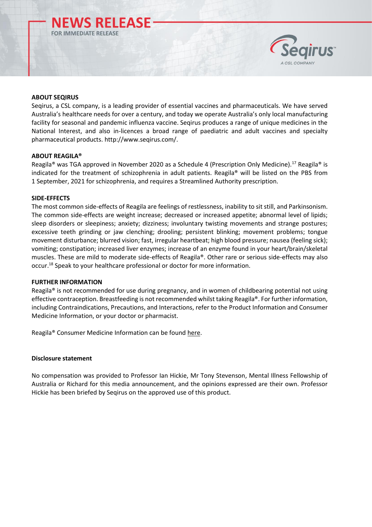



# **ABOUT SEQIRUS**

Seqirus, a CSL company, is a leading provider of essential vaccines and pharmaceuticals. We have served Australia's healthcare needs for over a century, and today we operate Australia's only local manufacturing facility for seasonal and pandemic influenza vaccine. Seqirus produces a range of unique medicines in the National Interest, and also in-licences a broad range of paediatric and adult vaccines and specialty pharmaceutical products. [http://www.seqirus.com/.](http://www.seqirus.com/)

#### **ABOUT REAGILA®**

Reagila® was TGA approved in November 2020 as a Schedule 4 (Prescription Only Medicine).<sup>17</sup> Reagila® is indicated for the treatment of schizophrenia in adult patients. Reagila® will be listed on the PBS from 1 September, 2021 for schizophrenia, and requires a Streamlined Authority prescription.

# **SIDE-EFFECTS**

The most common side-effects of Reagila are feelings of restlessness, inability to sit still, and Parkinsonism. The common side-effects are weight increase; decreased or increased appetite; abnormal level of lipids; sleep disorders or sleepiness; anxiety; dizziness; involuntary twisting movements and strange postures; excessive teeth grinding or jaw clenching; drooling; persistent blinking; movement problems; tongue movement disturbance; blurred vision; fast, irregular heartbeat; high blood pressure; nausea (feeling sick); vomiting; constipation; increased liver enzymes; increase of an enzyme found in your heart/brain/skeletal muscles. These are mild to moderate side-effects of Reagila®. Other rare or serious side-effects may also occur.<sup>18</sup> Speak to your healthcare professional or doctor for more information.

#### **FURTHER INFORMATION**

Reagila® is not recommended for use during pregnancy, and in women of childbearing potential not using effective contraception. Breastfeeding is not recommended whilst taking Reagila®. For further information, including Contraindications, Precautions, and Interactions, refer to the Product Information and Consumer Medicine Information, or your doctor or pharmacist.

Reagila® Consumer Medicine Information can be found [here.](https://www.ebs.tga.gov.au/ebs/picmi/picmirepository.nsf/pdf?OpenAgent&id=CP-2020-CMI-02599-1&d=202107141016933)

#### **Disclosure statement**

No compensation was provided to Professor Ian Hickie, Mr Tony Stevenson, Mental Illness Fellowship of Australia or Richard for this media announcement, and the opinions expressed are their own. Professor Hickie has been briefed by Seqirus on the approved use of this product.